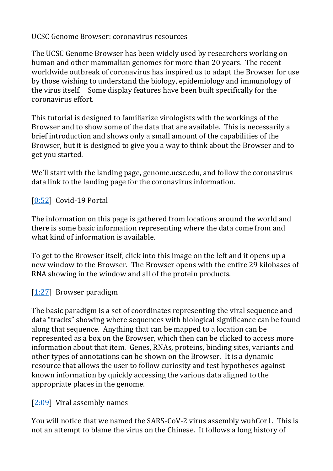### UCSC Genome Browser: coronavirus resources

The UCSC Genome Browser has been widely used by researchers working on human and other mammalian genomes for more than 20 years. The recent worldwide outbreak of coronavirus has inspired us to adapt the Browser for use by those wishing to understand the biology, epidemiology and immunology of the virus itself. Some display features have been built specifically for the coronavirus effort.

This tutorial is designed to familiarize virologists with the workings of the Browser and to show some of the data that are available. This is necessarily a brief introduction and shows only a small amount of the capabilities of the Browser, but it is designed to give you a way to think about the Browser and to get you started.

We'll start with the landing page, genome.ucsc.edu, and follow the coronavirus data link to the landing page for the coronavirus information.

## [\[0:52\]](https://www.youtube.com/watch?v=Ee6h0xyZDOM&feature=youtu.be&list=UUQnUJepyNOw0p8s2otX4RYQ&t=52s) Covid-19 Portal

The information on this page is gathered from locations around the world and there is some basic information representing where the data come from and what kind of information is available.

To get to the Browser itself, click into this image on the left and it opens up a new window to the Browser. The Browser opens with the entire 29 kilobases of RNA showing in the window and all of the protein products.

## [\[1:27\]](https://www.youtube.com/watch?v=Ee6h0xyZDOM&feature=youtu.be&list=UUQnUJepyNOw0p8s2otX4RYQ&t=87s) Browser paradigm

The basic paradigm is a set of coordinates representing the viral sequence and data "tracks" showing where sequences with biological significance can be found along that sequence. Anything that can be mapped to a location can be represented as a box on the Browser, which then can be clicked to access more information about that item. Genes, RNAs, proteins, binding sites, variants and other types of annotations can be shown on the Browser. It is a dynamic resource that allows the user to follow curiosity and test hypotheses against known information by quickly accessing the various data aligned to the appropriate places in the genome.

[\[2:09\]](https://www.youtube.com/watch?v=Ee6h0xyZDOM&feature=youtu.be&list=UUQnUJepyNOw0p8s2otX4RYQ&t=129s) Viral assembly names

You will notice that we named the SARS-CoV-2 virus assembly wuhCor1. This is not an attempt to blame the virus on the Chinese. It follows a long history of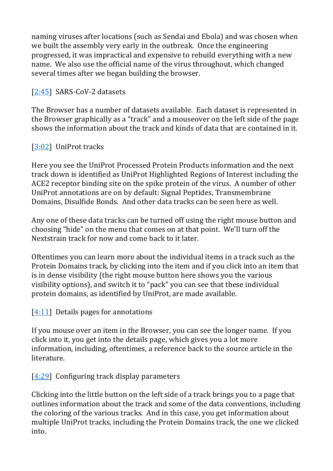naming viruses after locations (such as Sendai and Ebola) and was chosen when we built the assembly very early in the outbreak. Once the engineering progressed, it was impractical and expensive to rebuild everything with a new name. We also use the official name of the virus throughout, which changed several times after we began building the browser.

## [\[2:45\]](https://www.youtube.com/watch?v=Ee6h0xyZDOM&feature=youtu.be&list=UUQnUJepyNOw0p8s2otX4RYQ&t=165s) SARS-CoV-2 datasets

The Browser has a number of datasets available. Each dataset is represented in the Browser graphically as a "track" and a mouseover on the left side of the page shows the information about the track and kinds of data that are contained in it.

# [\[3:02\]](https://www.youtube.com/watch?v=Ee6h0xyZDOM&feature=youtu.be&list=UUQnUJepyNOw0p8s2otX4RYQ&t=182s) UniProt tracks

Here you see the UniProt Processed Protein Products information and the next track down is identified as UniProt Highlighted Regions of Interest including the ACE2 receptor binding site on the spike protein of the virus. A number of other UniProt annotations are on by default: Signal Peptides, Transmembrane Domains, Disulfide Bonds. And other data tracks can be seen here as well.

Any one of these data tracks can be turned off using the right mouse button and choosing "hide" on the menu that comes on at that point. We'll turn off the Nextstrain track for now and come back to it later.

Oftentimes you can learn more about the individual items in a track such as the Protein Domains track, by clicking into the item and if you click into an item that is in dense visibility (the right mouse button here shows you the various visibility options), and switch it to "pack" you can see that these individual protein domains, as identified by UniProt, are made available.

## [\[4:11\]](https://www.youtube.com/watch?v=Ee6h0xyZDOM&feature=youtu.be&list=UUQnUJepyNOw0p8s2otX4RYQ&t=251s) Details pages for annotations

If you mouse over an item in the Browser, you can see the longer name. If you click into it, you get into the details page, which gives you a lot more information, including, oftentimes, a reference back to the source article in the literature.

## [\[4:29\]](https://www.youtube.com/watch?v=Ee6h0xyZDOM&feature=youtu.be&list=UUQnUJepyNOw0p8s2otX4RYQ&t=269s) Configuring track display parameters

Clicking into the little button on the left side of a track brings you to a page that outlines information about the track and some of the data conventions, including the coloring of the various tracks. And in this case, you get information about multiple UniProt tracks, including the Protein Domains track, the one we clicked into.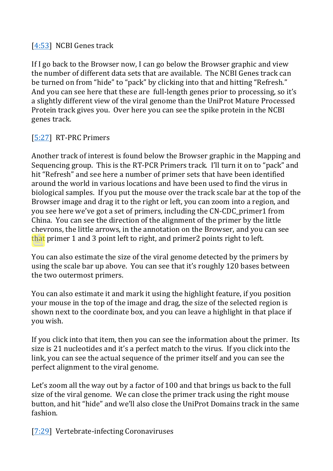#### [\[4:53\]](https://www.youtube.com/watch?v=Ee6h0xyZDOM&feature=youtu.be&list=UUQnUJepyNOw0p8s2otX4RYQ&t=293s) NCBI Genes track

If I go back to the Browser now, I can go below the Browser graphic and view the number of different data sets that are available. The NCBI Genes track can be turned on from "hide" to "pack" by clicking into that and hitting "Refresh." And you can see here that these are full-length genes prior to processing, so it's a slightly different view of the viral genome than the UniProt Mature Processed Protein track gives you. Over here you can see the spike protein in the NCBI genes track.

## [\[5:27\]](https://www.youtube.com/watch?v=Ee6h0xyZDOM&feature=youtu.be&list=UUQnUJepyNOw0p8s2otX4RYQ&t=327s) RT-PRC Primers

Another track of interest is found below the Browser graphic in the Mapping and Sequencing group. This is the RT-PCR Primers track. I'll turn it on to "pack" and hit "Refresh" and see here a number of primer sets that have been identified around the world in various locations and have been used to find the virus in biological samples. If you put the mouse over the track scale bar at the top of the Browser image and drag it to the right or left, you can zoom into a region, and you see here we've got a set of primers, including the CN-CDC\_primer1 from China. You can see the direction of the alignment of the primer by the little chevrons, the little arrows, in the annotation on the Browser, and you can see that primer 1 and 3 point left to right, and primer2 points right to left.

You can also estimate the size of the viral genome detected by the primers by using the scale bar up above. You can see that it's roughly 120 bases between the two outermost primers.

You can also estimate it and mark it using the highlight feature, if you position your mouse in the top of the image and drag, the size of the selected region is shown next to the coordinate box, and you can leave a highlight in that place if you wish.

If you click into that item, then you can see the information about the primer. Its size is 21 nucleotides and it's a perfect match to the virus. If you click into the link, you can see the actual sequence of the primer itself and you can see the perfect alignment to the viral genome.

Let's zoom all the way out by a factor of 100 and that brings us back to the full size of the viral genome. We can close the primer track using the right mouse button, and hit "hide" and we'll also close the UniProt Domains track in the same fashion.

[\[7:29\]](https://www.youtube.com/watch?v=Ee6h0xyZDOM&feature=youtu.be&list=UUQnUJepyNOw0p8s2otX4RYQ&t=449s) Vertebrate-infecting Coronaviruses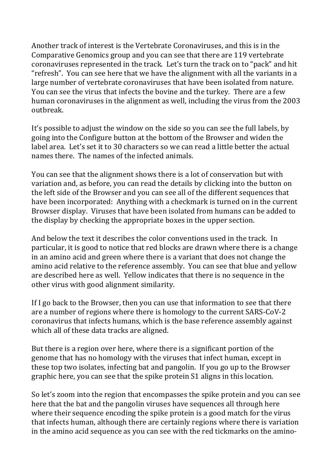Another track of interest is the Vertebrate Coronaviruses, and this is in the Comparative Genomics group and you can see that there are 119 vertebrate coronaviruses represented in the track. Let's turn the track on to "pack" and hit "refresh". You can see here that we have the alignment with all the variants in a large number of vertebrate coronaviruses that have been isolated from nature. You can see the virus that infects the bovine and the turkey. There are a few human coronaviruses in the alignment as well, including the virus from the 2003 outbreak.

It's possible to adjust the window on the side so you can see the full labels, by going into the Configure button at the bottom of the Browser and widen the label area. Let's set it to 30 characters so we can read a little better the actual names there. The names of the infected animals.

You can see that the alignment shows there is a lot of conservation but with variation and, as before, you can read the details by clicking into the button on the left side of the Browser and you can see all of the different sequences that have been incorporated: Anything with a checkmark is turned on in the current Browser display. Viruses that have been isolated from humans can be added to the display by checking the appropriate boxes in the upper section.

And below the text it describes the color conventions used in the track. In particular, it is good to notice that red blocks are drawn where there is a change in an amino acid and green where there is a variant that does not change the amino acid relative to the reference assembly. You can see that blue and yellow are described here as well. Yellow indicates that there is no sequence in the other virus with good alignment similarity.

If I go back to the Browser, then you can use that information to see that there are a number of regions where there is homology to the current SARS-CoV-2 coronavirus that infects humans, which is the base reference assembly against which all of these data tracks are aligned.

But there is a region over here, where there is a significant portion of the genome that has no homology with the viruses that infect human, except in these top two isolates, infecting bat and pangolin. If you go up to the Browser graphic here, you can see that the spike protein S1 aligns in this location.

So let's zoom into the region that encompasses the spike protein and you can see here that the bat and the pangolin viruses have sequences all through here where their sequence encoding the spike protein is a good match for the virus that infects human, although there are certainly regions where there is variation in the amino acid sequence as you can see with the red tickmarks on the amino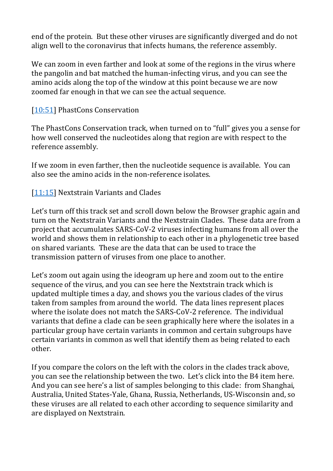end of the protein. But these other viruses are significantly diverged and do not align well to the coronavirus that infects humans, the reference assembly.

We can zoom in even farther and look at some of the regions in the virus where the pangolin and bat matched the human-infecting virus, and you can see the amino acids along the top of the window at this point because we are now zoomed far enough in that we can see the actual sequence.

### [\[10:51\]](https://www.youtube.com/watch?v=Ee6h0xyZDOM&feature=youtu.be&list=UUQnUJepyNOw0p8s2otX4RYQ&t=651s) PhastCons Conservation

The PhastCons Conservation track, when turned on to "full" gives you a sense for how well conserved the nucleotides along that region are with respect to the reference assembly.

If we zoom in even farther, then the nucleotide sequence is available. You can also see the amino acids in the non-reference isolates.

## [\[11:15\]](https://www.youtube.com/watch?v=Ee6h0xyZDOM&feature=youtu.be&list=UUQnUJepyNOw0p8s2otX4RYQ&t=675s) Nextstrain Variants and Clades

Let's turn off this track set and scroll down below the Browser graphic again and turn on the Nextstrain Variants and the Nextstrain Clades. These data are from a project that accumulates SARS-CoV-2 viruses infecting humans from all over the world and shows them in relationship to each other in a phylogenetic tree based on shared variants. These are the data that can be used to trace the transmission pattern of viruses from one place to another.

Let's zoom out again using the ideogram up here and zoom out to the entire sequence of the virus, and you can see here the Nextstrain track which is updated multiple times a day, and shows you the various clades of the virus taken from samples from around the world. The data lines represent places where the isolate does not match the SARS-CoV-2 reference. The individual variants that define a clade can be seen graphically here where the isolates in a particular group have certain variants in common and certain subgroups have certain variants in common as well that identify them as being related to each other.

If you compare the colors on the left with the colors in the clades track above, you can see the relationship between the two. Let's click into the B4 item here. And you can see here's a list of samples belonging to this clade: from Shanghai, Australia, United States-Yale, Ghana, Russia, Netherlands, US-Wisconsin and, so these viruses are all related to each other according to sequence similarity and are displayed on Nextstrain.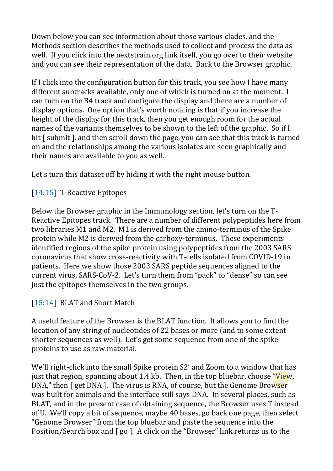Down below you can see information about those various clades, and the Methods section describes the methods used to collect and process the data as well. If you click into the nextstrain.org link itself, you go over to their website and you can see their representation of the data. Back to the Browser graphic.

If I click into the configuration button for this track, you see how I have many different subtracks available, only one of which is turned on at the moment. I can turn on the B4 track and configure the display and there are a number of display options. One option that's worth noticing is that if you increase the height of the display for this track, then you get enough room for the actual names of the variants themselves to be shown to the left of the graphic. So if I hit [ submit ], and then scroll down the page, you can see that this track is turned on and the relationships among the various isolates are seen graphically and their names are available to you as well.

Let's turn this dataset off by hiding it with the right mouse button.

# [\[14:15\]](https://www.youtube.com/watch?v=Ee6h0xyZDOM&feature=youtu.be&list=UUQnUJepyNOw0p8s2otX4RYQ&t=855s) T-Reactive Epitopes

Below the Browser graphic in the Immunology section, let's turn on the T-Reactive Epitopes track. There are a number of different polypeptides here from two libraries M1 and M2. M1 is derived from the amino-terminus of the Spike protein while M2 is derived from the carboxy-terminus. These experiments identified regions of the spike protein using polypeptides from the 2003 SARS coronavirus that show cross-reactivity with T-cells isolated from COVID-19 in patients. Here we show those 2003 SARS peptide sequences aligned to the current virus, SARS-CoV-2. Let's turn them from "pack" to "dense" so can see just the epitopes themselves in the two groups.

## [\[15:14\]](https://www.youtube.com/watch?v=Ee6h0xyZDOM&feature=youtu.be&list=UUQnUJepyNOw0p8s2otX4RYQ&t=914s) BLAT and Short Match

A useful feature of the Browser is the BLAT function. It allows you to find the location of any string of nucleotides of 22 bases or more (and to some extent shorter sequences as well). Let's get some sequence from one of the spike proteins to use as raw material.

We'll right-click into the small Spike protein S2' and Zoom to a window that has just that region, spanning about 1.4 kb. Then, in the top bluebar, choose "View, DNA," then [ get DNA ]. The virus is RNA, of course, but the Genome Browser was built for animals and the interface still says DNA. In several places, such as BLAT, and in the present case of obtaining sequence, the Browser uses T instead of U. We'll copy a bit of sequence, maybe 40 bases, go back one page, then select "Genome Browser" from the top bluebar and paste the sequence into the Position/Search box and [ go ]. A click on the "Browser" link returns us to the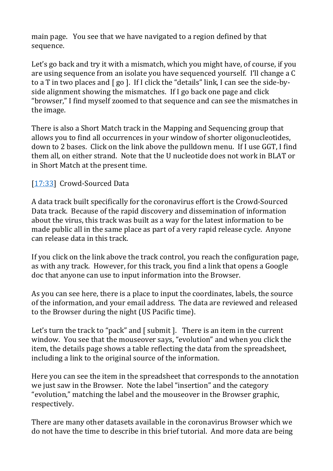main page. You see that we have navigated to a region defined by that sequence.

Let's go back and try it with a mismatch, which you might have, of course, if you are using sequence from an isolate you have sequenced yourself. I'll change a C to a T in two places and [ go ]. If I click the "details" link, I can see the side-byside alignment showing the mismatches. If I go back one page and click "browser," I find myself zoomed to that sequence and can see the mismatches in the image.

There is also a Short Match track in the Mapping and Sequencing group that allows you to find all occurrences in your window of shorter oligonucleotides, down to 2 bases. Click on the link above the pulldown menu. If I use GGT, I find them all, on either strand. Note that the U nucleotide does not work in BLAT or in Short Match at the present time.

# [\[17:33\]](https://www.youtube.com/watch?v=Ee6h0xyZDOM&feature=youtu.be&list=UUQnUJepyNOw0p8s2otX4RYQ&t=1053s) Crowd-Sourced Data

A data track built specifically for the coronavirus effort is the Crowd-Sourced Data track. Because of the rapid discovery and dissemination of information about the virus, this track was built as a way for the latest information to be made public all in the same place as part of a very rapid release cycle. Anyone can release data in this track.

If you click on the link above the track control, you reach the configuration page, as with any track. However, for this track, you find a link that opens a Google doc that anyone can use to input information into the Browser.

As you can see here, there is a place to input the coordinates, labels, the source of the information, and your email address. The data are reviewed and released to the Browser during the night (US Pacific time).

Let's turn the track to "pack" and [ submit ]. There is an item in the current window. You see that the mouseover says, "evolution" and when you click the item, the details page shows a table reflecting the data from the spreadsheet, including a link to the original source of the information.

Here you can see the item in the spreadsheet that corresponds to the annotation we just saw in the Browser. Note the label "insertion" and the category "evolution," matching the label and the mouseover in the Browser graphic, respectively.

There are many other datasets available in the coronavirus Browser which we do not have the time to describe in this brief tutorial. And more data are being